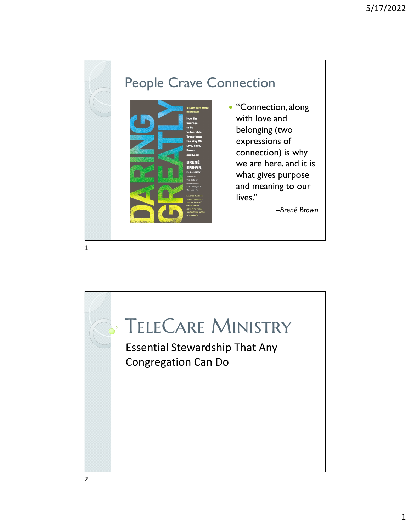

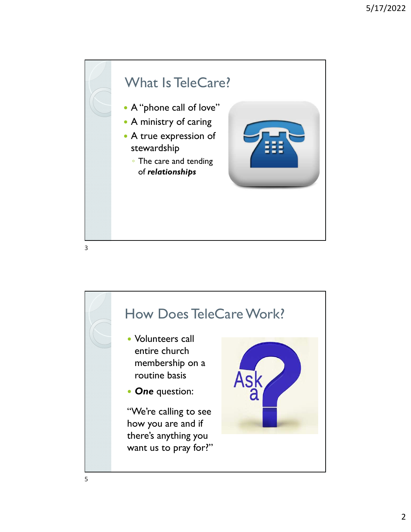



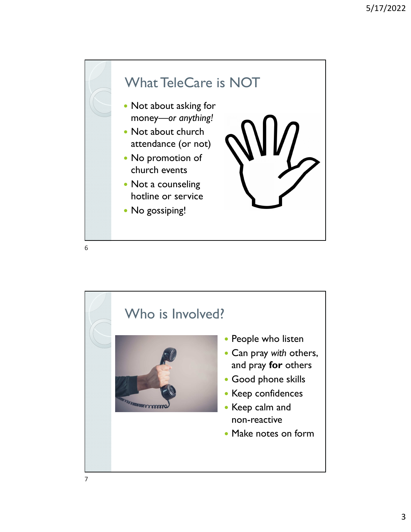

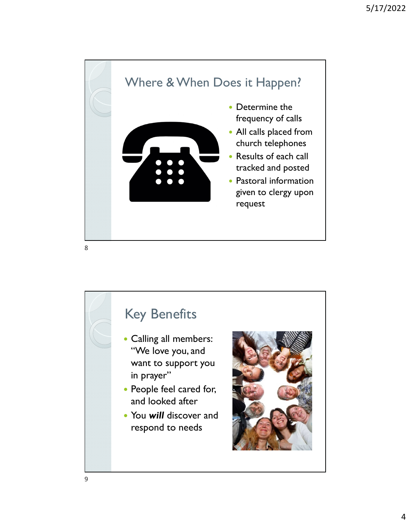

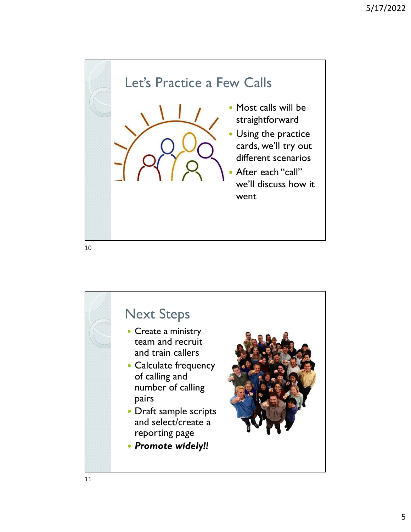